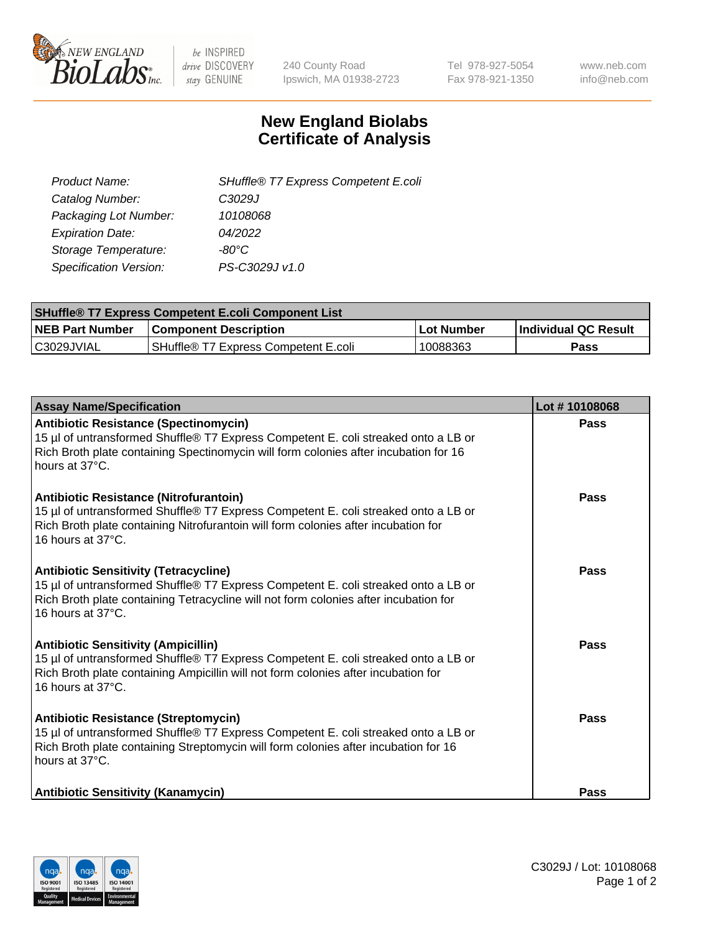

 $be$  INSPIRED drive DISCOVERY stay GENUINE

240 County Road Ipswich, MA 01938-2723 Tel 978-927-5054 Fax 978-921-1350 www.neb.com info@neb.com

## **New England Biolabs Certificate of Analysis**

| SHuffle® T7 Express Competent E.coli |
|--------------------------------------|
| C3029J                               |
| 10108068                             |
| 04/2022                              |
| -80°C                                |
| PS-C3029J v1.0                       |
|                                      |

| <b>SHuffle<sup>®</sup> T7 Express Competent E.coli Component List</b> |                                      |            |                             |  |
|-----------------------------------------------------------------------|--------------------------------------|------------|-----------------------------|--|
| <b>NEB Part Number</b>                                                | <b>Component Description</b>         | Lot Number | <b>Individual QC Result</b> |  |
| C3029JVIAL                                                            | SHuffle® T7 Express Competent E.coli | 10088363   | Pass                        |  |

| <b>Assay Name/Specification</b>                                                                                                                                                                                                                 | Lot #10108068 |
|-------------------------------------------------------------------------------------------------------------------------------------------------------------------------------------------------------------------------------------------------|---------------|
| <b>Antibiotic Resistance (Spectinomycin)</b><br>15 µl of untransformed Shuffle® T7 Express Competent E. coli streaked onto a LB or<br>Rich Broth plate containing Spectinomycin will form colonies after incubation for 16<br>hours at 37°C.    | Pass          |
| Antibiotic Resistance (Nitrofurantoin)<br>15 µl of untransformed Shuffle® T7 Express Competent E. coli streaked onto a LB or<br>Rich Broth plate containing Nitrofurantoin will form colonies after incubation for<br>16 hours at 37°C.         | Pass          |
| <b>Antibiotic Sensitivity (Tetracycline)</b><br>15 µl of untransformed Shuffle® T7 Express Competent E. coli streaked onto a LB or<br>Rich Broth plate containing Tetracycline will not form colonies after incubation for<br>16 hours at 37°C. | <b>Pass</b>   |
| <b>Antibiotic Sensitivity (Ampicillin)</b><br>15 µl of untransformed Shuffle® T7 Express Competent E. coli streaked onto a LB or<br>Rich Broth plate containing Ampicillin will not form colonies after incubation for<br>16 hours at 37°C.     | Pass          |
| Antibiotic Resistance (Streptomycin)<br>15 µl of untransformed Shuffle® T7 Express Competent E. coli streaked onto a LB or<br>Rich Broth plate containing Streptomycin will form colonies after incubation for 16<br>hours at 37°C.             | <b>Pass</b>   |
| <b>Antibiotic Sensitivity (Kanamycin)</b>                                                                                                                                                                                                       | Pass          |